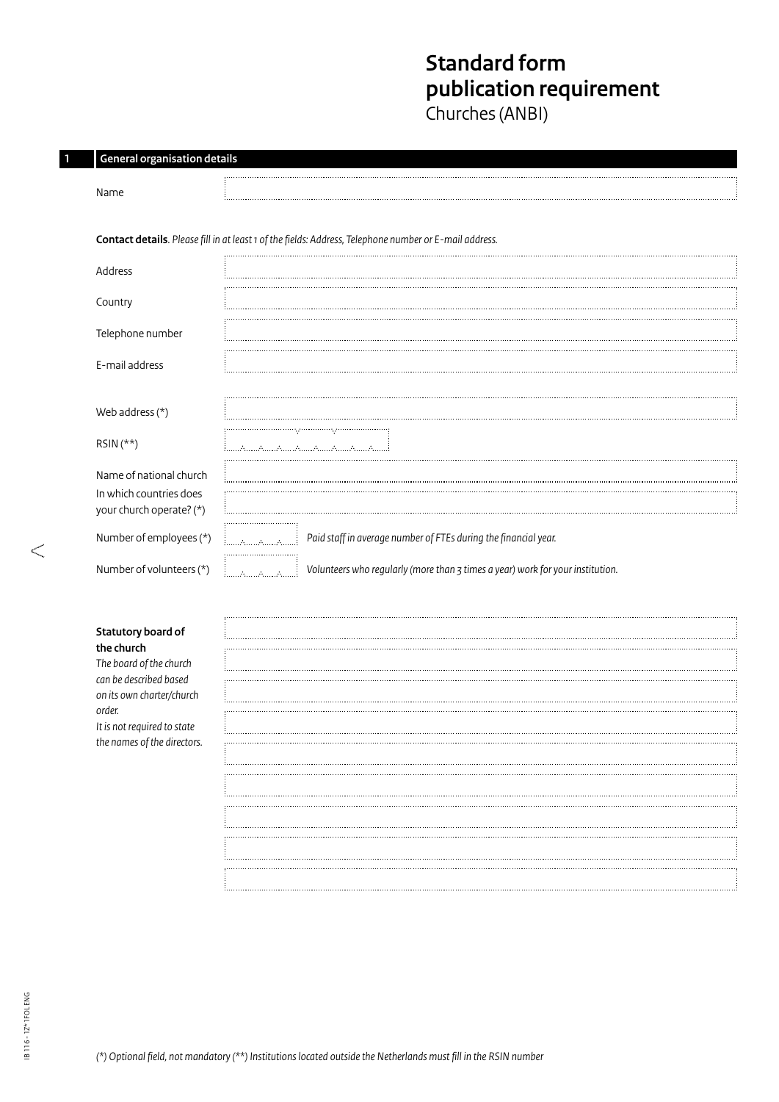# **Standard form publication requirement**

Churches (ANBI)

| <b>General organisation details</b>                 |                                                                                                        |
|-----------------------------------------------------|--------------------------------------------------------------------------------------------------------|
| Name                                                |                                                                                                        |
|                                                     | Contact details. Please fill in at least 1 of the fields: Address, Telephone number or E-mail address. |
| Address                                             |                                                                                                        |
| Country                                             |                                                                                                        |
| Telephone number                                    |                                                                                                        |
| E-mail address                                      |                                                                                                        |
|                                                     |                                                                                                        |
| Web address $(*)$                                   |                                                                                                        |
| $RSIN$ (**)                                         | rymmmnyr                                                                                               |
| Name of national church                             |                                                                                                        |
| In which countries does<br>your church operate? (*) |                                                                                                        |
| Number of employees (*)                             | Paid staff in average number of FTEs during the financial year.                                        |
| Number of volunteers (*)                            | Volunteers who regularly (more than 3 times a year) work for your institution.<br>illilallilallilalli  |

## **Statutory board of the church**

**1 General organisation details** 

*The board of the church can be described based on its own charter/church order. It is not required to state the names of the directors.*

 $\begin{picture}(20,20) \put(0,0){\line(1,0){10}} \put(10,0){\line(1,0){10}} \put(10,0){\line(1,0){10}} \put(10,0){\line(1,0){10}} \put(10,0){\line(1,0){10}} \put(10,0){\line(1,0){10}} \put(10,0){\line(1,0){10}} \put(10,0){\line(1,0){10}} \put(10,0){\line(1,0){10}} \put(10,0){\line(1,0){10}} \put(10,0){\line(1,0){10}} \put(10,0){\line(1$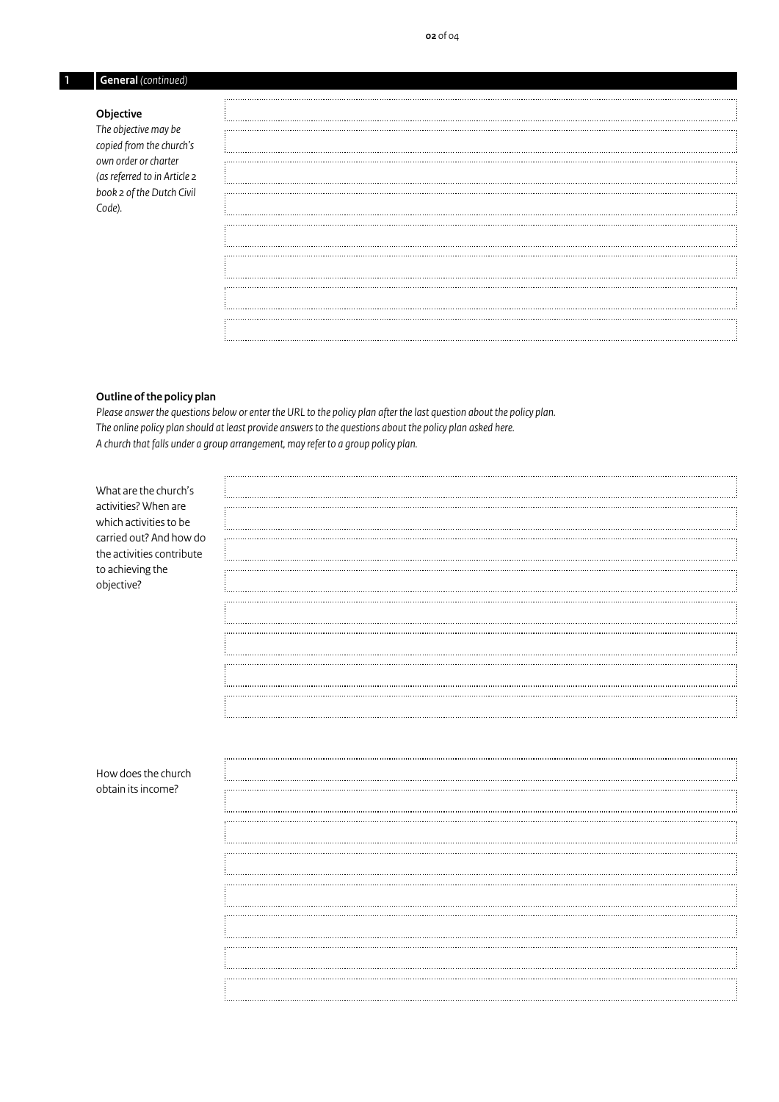# **1 General** *(continued)*

## **Objective**

*The objective may be copied from the church's own order or charter (as referred to in Article 2 book 2 of the Dutch Civil Code).*

## **Outline of the policy plan**

*Please answer the questions below or enter the URL to the policy plan after the last question about the policy plan. The online policy plan should at least provide answers to the questions about the policy plan asked here. A church that falls under a group arrangement, may refer to a group policy plan.*

| What are the church's     |  |
|---------------------------|--|
|                           |  |
| activities? When are      |  |
|                           |  |
| which activities to be    |  |
| carried out? And how do   |  |
|                           |  |
| the activities contribute |  |
|                           |  |
| to achieving the          |  |
|                           |  |
| objective?                |  |
|                           |  |
|                           |  |
|                           |  |
|                           |  |
|                           |  |
|                           |  |
|                           |  |
|                           |  |
|                           |  |
|                           |  |
|                           |  |
|                           |  |
|                           |  |
|                           |  |
|                           |  |
|                           |  |
|                           |  |
|                           |  |
|                           |  |
|                           |  |
|                           |  |
| How does the church       |  |
|                           |  |
| obtain its income?        |  |
|                           |  |
|                           |  |
|                           |  |
|                           |  |
|                           |  |
|                           |  |

. . . . . . . . . . . .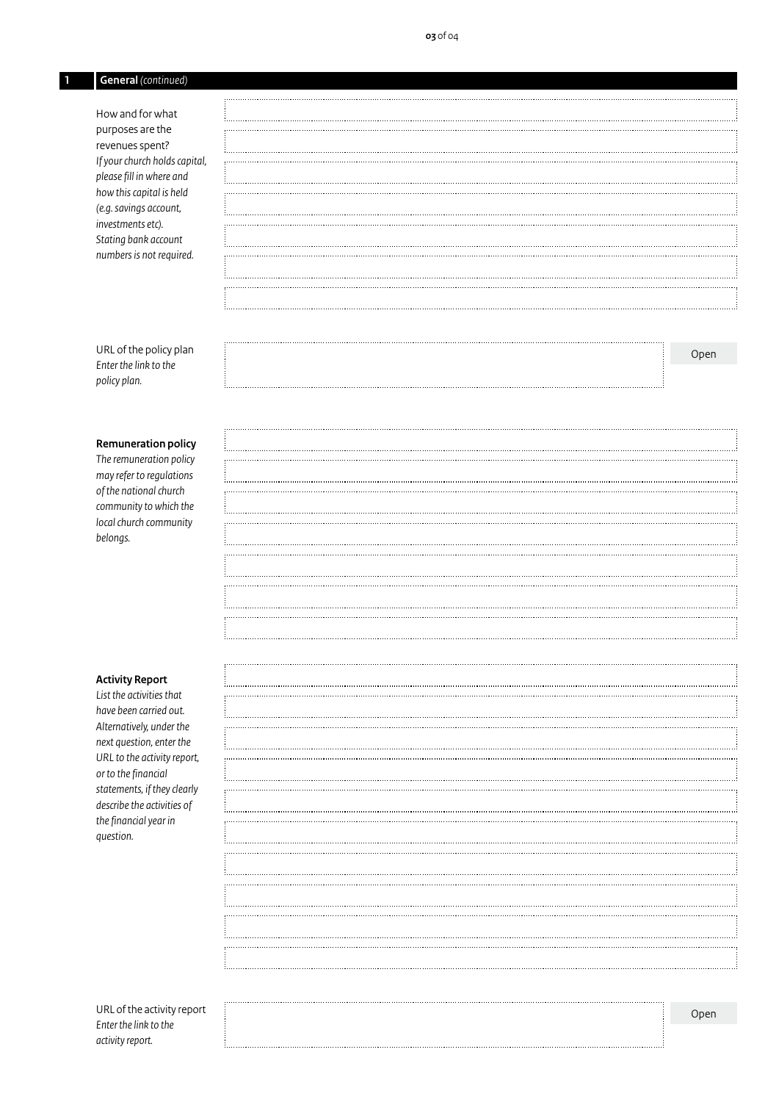# **1 General** *(continued)*

How and for what purposes are the revenues spent? *If your church holds capital, please fill in where and how this capital is held (e.g.savings account, investments etc). Stating bank account numbers is not required.*

URL of the policy plan *Enter the link to the policy plan.*

#### **Remuneration policy**

*The remuneration policy may refer to regulations of the national church community to which the local church community belongs.*

## **Activity Report**

*List the activities that have been carried out. Alternatively, under the next question, enter the URL to the activity report, or to the financial statements, if they clearly describe the activities of the financial year in question.*

|  | Open |  |
|--|------|--|

. . . . . . . . . . . .

| Open |
|------|

URL of the activity report *Enter the link to the activity report.*